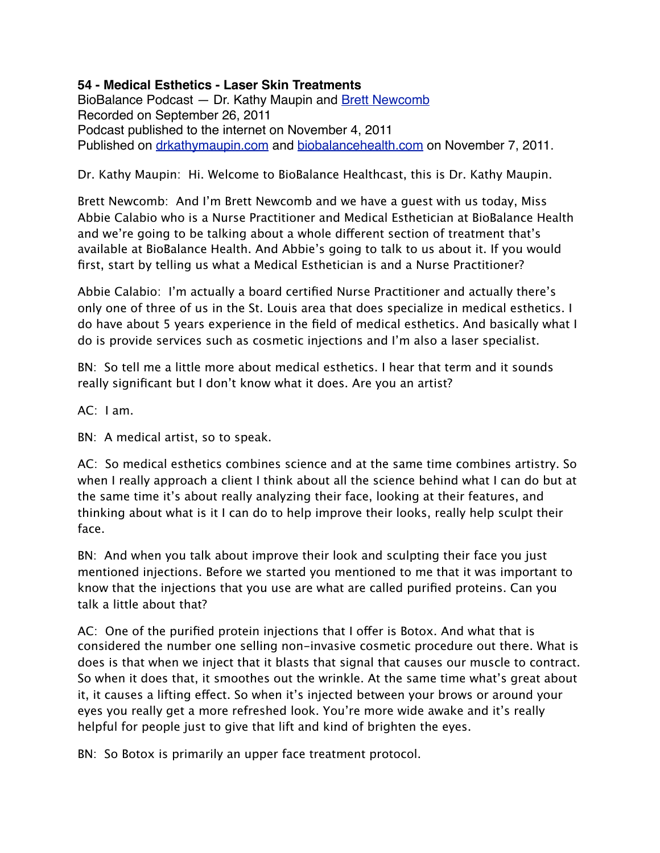## **54 - Medical Esthetics - Laser Skin Treatments**

BioBalance Podcast - Dr. Kathy Maupin and [Brett Newcomb](http://brettnewcomb.com) Recorded on September 26, 2011 Podcast published to the internet on November 4, 2011 Published on [drkathymaupin.com](http://drkathymaupin.com/) and [biobalancehealth.com](http://www.biobalancehealth.com/about/podcast-2/) on November 7, 2011.

## Dr. Kathy Maupin: Hi. Welcome to BioBalance Healthcast, this is Dr. Kathy Maupin.

Brett Newcomb: And I'm Brett Newcomb and we have a guest with us today, Miss Abbie Calabio who is a Nurse Practitioner and Medical Esthetician at BioBalance Health and we're going to be talking about a whole different section of treatment that's available at BioBalance Health. And Abbie's going to talk to us about it. If you would first, start by telling us what a Medical Esthetician is and a Nurse Practitioner?

Abbie Calabio: I'm actually a board certified Nurse Practitioner and actually there's only one of three of us in the St. Louis area that does specialize in medical esthetics. I do have about 5 years experience in the field of medical esthetics. And basically what I do is provide services such as cosmetic injections and I'm also a laser specialist.

BN: So tell me a little more about medical esthetics. I hear that term and it sounds really significant but I don't know what it does. Are you an artist?

AC: I am.

BN: A medical artist, so to speak.

AC: So medical esthetics combines science and at the same time combines artistry. So when I really approach a client I think about all the science behind what I can do but at the same time it's about really analyzing their face, looking at their features, and thinking about what is it I can do to help improve their looks, really help sculpt their face.

BN: And when you talk about improve their look and sculpting their face you just mentioned injections. Before we started you mentioned to me that it was important to know that the injections that you use are what are called purified proteins. Can you talk a little about that?

AC: One of the purified protein injections that I offer is Botox. And what that is considered the number one selling non-invasive cosmetic procedure out there. What is does is that when we inject that it blasts that signal that causes our muscle to contract. So when it does that, it smoothes out the wrinkle. At the same time what's great about it, it causes a lifting effect. So when it's injected between your brows or around your eyes you really get a more refreshed look. You're more wide awake and it's really helpful for people just to give that lift and kind of brighten the eyes.

BN: So Botox is primarily an upper face treatment protocol.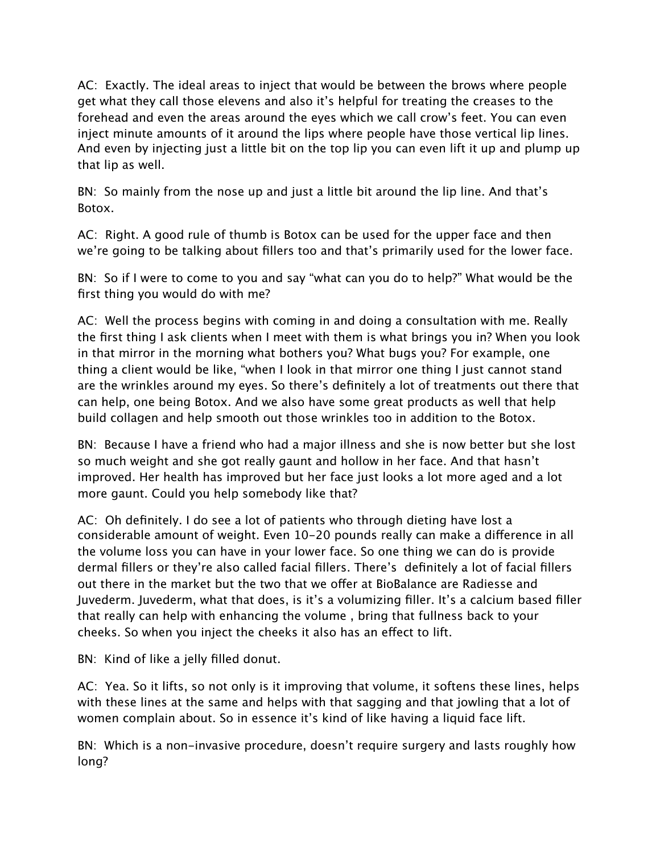AC: Exactly. The ideal areas to inject that would be between the brows where people get what they call those elevens and also it's helpful for treating the creases to the forehead and even the areas around the eyes which we call crow's feet. You can even inject minute amounts of it around the lips where people have those vertical lip lines. And even by injecting just a little bit on the top lip you can even lift it up and plump up that lip as well.

BN: So mainly from the nose up and just a little bit around the lip line. And that's Botox.

AC: Right. A good rule of thumb is Botox can be used for the upper face and then we're going to be talking about fillers too and that's primarily used for the lower face.

BN: So if I were to come to you and say "what can you do to help?" What would be the first thing you would do with me?

AC: Well the process begins with coming in and doing a consultation with me. Really the first thing I ask clients when I meet with them is what brings you in? When you look in that mirror in the morning what bothers you? What bugs you? For example, one thing a client would be like, "when I look in that mirror one thing I just cannot stand are the wrinkles around my eyes. So there's definitely a lot of treatments out there that can help, one being Botox. And we also have some great products as well that help build collagen and help smooth out those wrinkles too in addition to the Botox.

BN: Because I have a friend who had a major illness and she is now better but she lost so much weight and she got really gaunt and hollow in her face. And that hasn't improved. Her health has improved but her face just looks a lot more aged and a lot more gaunt. Could you help somebody like that?

AC: Oh definitely. I do see a lot of patients who through dieting have lost a considerable amount of weight. Even 10-20 pounds really can make a difference in all the volume loss you can have in your lower face. So one thing we can do is provide dermal fillers or they're also called facial fillers. There's definitely a lot of facial fillers out there in the market but the two that we offer at BioBalance are Radiesse and Juvederm. Juvederm, what that does, is it's a volumizing filler. It's a calcium based filler that really can help with enhancing the volume , bring that fullness back to your cheeks. So when you inject the cheeks it also has an effect to lift.

BN: Kind of like a jelly filled donut.

AC: Yea. So it lifts, so not only is it improving that volume, it softens these lines, helps with these lines at the same and helps with that sagging and that jowling that a lot of women complain about. So in essence it's kind of like having a liquid face lift.

BN: Which is a non-invasive procedure, doesn't require surgery and lasts roughly how long?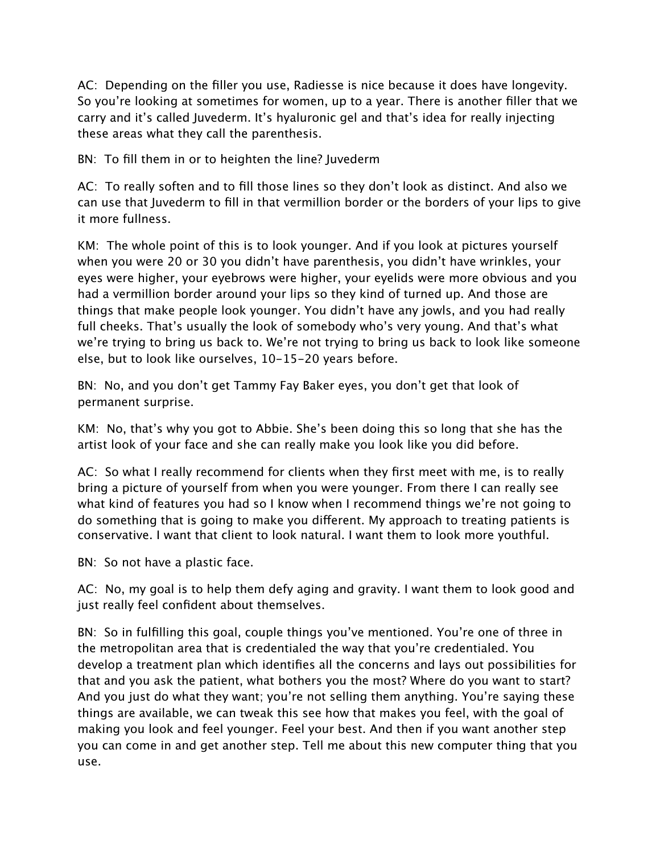AC: Depending on the filler you use, Radiesse is nice because it does have longevity. So you're looking at sometimes for women, up to a year. There is another filler that we carry and it's called Juvederm. It's hyaluronic gel and that's idea for really injecting these areas what they call the parenthesis.

BN: To fill them in or to heighten the line? Juvederm

AC: To really soften and to fill those lines so they don't look as distinct. And also we can use that Juvederm to fill in that vermillion border or the borders of your lips to give it more fullness.

KM: The whole point of this is to look younger. And if you look at pictures yourself when you were 20 or 30 you didn't have parenthesis, you didn't have wrinkles, your eyes were higher, your eyebrows were higher, your eyelids were more obvious and you had a vermillion border around your lips so they kind of turned up. And those are things that make people look younger. You didn't have any jowls, and you had really full cheeks. That's usually the look of somebody who's very young. And that's what we're trying to bring us back to. We're not trying to bring us back to look like someone else, but to look like ourselves, 10-15-20 years before.

BN: No, and you don't get Tammy Fay Baker eyes, you don't get that look of permanent surprise.

KM: No, that's why you got to Abbie. She's been doing this so long that she has the artist look of your face and she can really make you look like you did before.

AC: So what I really recommend for clients when they first meet with me, is to really bring a picture of yourself from when you were younger. From there I can really see what kind of features you had so I know when I recommend things we're not going to do something that is going to make you different. My approach to treating patients is conservative. I want that client to look natural. I want them to look more youthful.

BN: So not have a plastic face.

AC: No, my goal is to help them defy aging and gravity. I want them to look good and just really feel confident about themselves.

BN: So in fulfilling this goal, couple things you've mentioned. You're one of three in the metropolitan area that is credentialed the way that you're credentialed. You develop a treatment plan which identifies all the concerns and lays out possibilities for that and you ask the patient, what bothers you the most? Where do you want to start? And you just do what they want; you're not selling them anything. You're saying these things are available, we can tweak this see how that makes you feel, with the goal of making you look and feel younger. Feel your best. And then if you want another step you can come in and get another step. Tell me about this new computer thing that you use.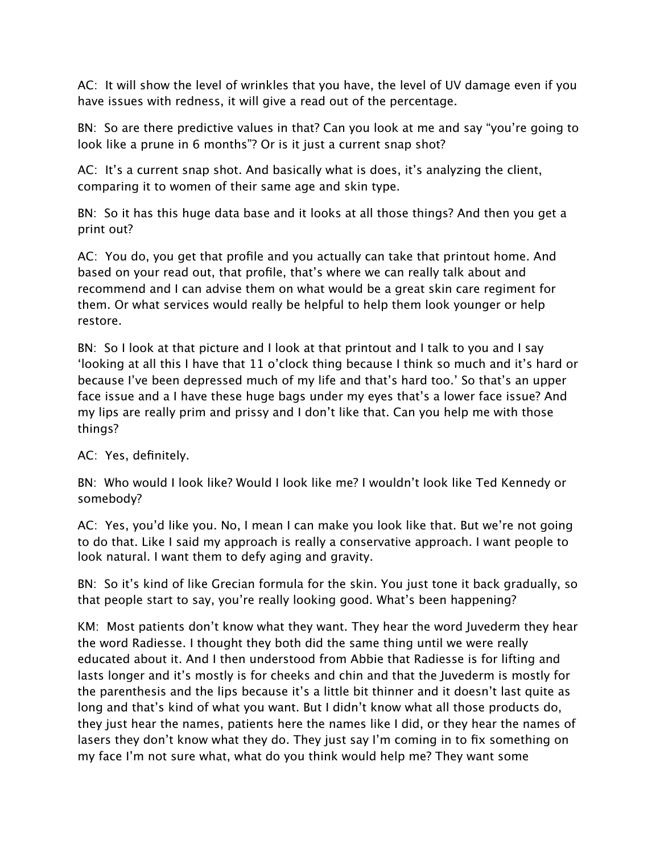AC: It will show the level of wrinkles that you have, the level of UV damage even if you have issues with redness, it will give a read out of the percentage.

BN: So are there predictive values in that? Can you look at me and say "you're going to look like a prune in 6 months"? Or is it just a current snap shot?

AC: It's a current snap shot. And basically what is does, it's analyzing the client, comparing it to women of their same age and skin type.

BN: So it has this huge data base and it looks at all those things? And then you get a print out?

AC: You do, you get that profile and you actually can take that printout home. And based on your read out, that profile, that's where we can really talk about and recommend and I can advise them on what would be a great skin care regiment for them. Or what services would really be helpful to help them look younger or help restore.

BN: So I look at that picture and I look at that printout and I talk to you and I say 'looking at all this I have that 11 o'clock thing because I think so much and it's hard or because I've been depressed much of my life and that's hard too.' So that's an upper face issue and a I have these huge bags under my eyes that's a lower face issue? And my lips are really prim and prissy and I don't like that. Can you help me with those things?

AC: Yes, definitely.

BN: Who would I look like? Would I look like me? I wouldn't look like Ted Kennedy or somebody?

AC: Yes, you'd like you. No, I mean I can make you look like that. But we're not going to do that. Like I said my approach is really a conservative approach. I want people to look natural. I want them to defy aging and gravity.

BN: So it's kind of like Grecian formula for the skin. You just tone it back gradually, so that people start to say, you're really looking good. What's been happening?

KM: Most patients don't know what they want. They hear the word Juvederm they hear the word Radiesse. I thought they both did the same thing until we were really educated about it. And I then understood from Abbie that Radiesse is for lifting and lasts longer and it's mostly is for cheeks and chin and that the Juvederm is mostly for the parenthesis and the lips because it's a little bit thinner and it doesn't last quite as long and that's kind of what you want. But I didn't know what all those products do, they just hear the names, patients here the names like I did, or they hear the names of lasers they don't know what they do. They just say I'm coming in to fix something on my face I'm not sure what, what do you think would help me? They want some